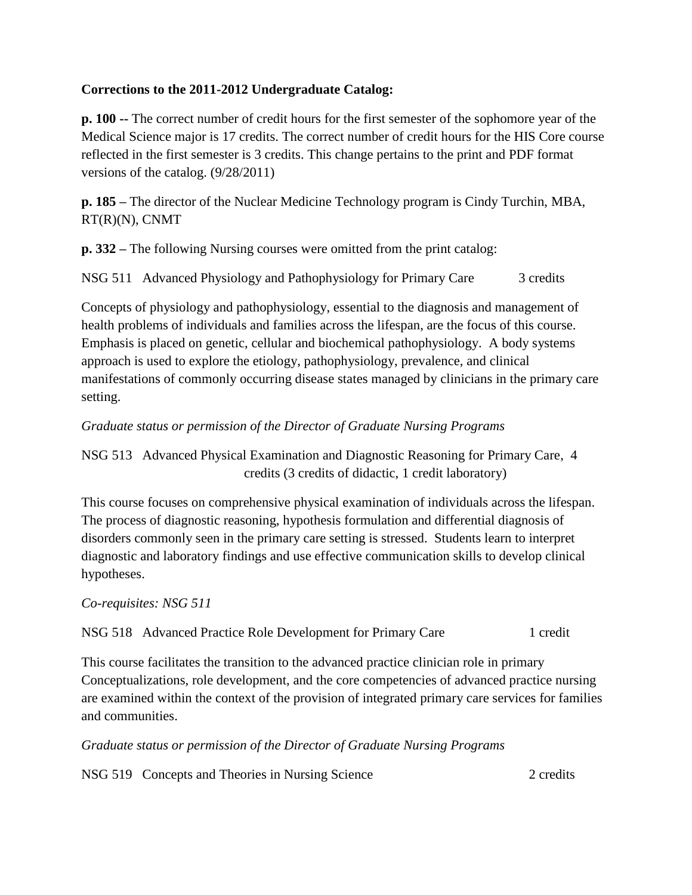## **Corrections to the 2011-2012 Undergraduate Catalog:**

**p. 100 --** The correct number of credit hours for the first semester of the sophomore year of the Medical Science major is 17 credits. The correct number of credit hours for the HIS Core course reflected in the first semester is 3 credits. This change pertains to the print and PDF format versions of the catalog. (9/28/2011)

**p. 185 –** The director of the Nuclear Medicine Technology program is Cindy Turchin, MBA, RT(R)(N), CNMT

**p. 332 –** The following Nursing courses were omitted from the print catalog:

NSG 511 Advanced Physiology and Pathophysiology for Primary Care 3 credits

Concepts of physiology and pathophysiology, essential to the diagnosis and management of health problems of individuals and families across the lifespan, are the focus of this course. Emphasis is placed on genetic, cellular and biochemical pathophysiology. A body systems approach is used to explore the etiology, pathophysiology, prevalence, and clinical manifestations of commonly occurring disease states managed by clinicians in the primary care setting.

# *Graduate status or permission of the Director of Graduate Nursing Programs*

NSG 513 Advanced Physical Examination and Diagnostic Reasoning for Primary Care, 4 credits (3 credits of didactic, 1 credit laboratory)

This course focuses on comprehensive physical examination of individuals across the lifespan. The process of diagnostic reasoning, hypothesis formulation and differential diagnosis of disorders commonly seen in the primary care setting is stressed. Students learn to interpret diagnostic and laboratory findings and use effective communication skills to develop clinical hypotheses.

*Co-requisites: NSG 511* 

### NSG 518 Advanced Practice Role Development for Primary Care 1 credit

This course facilitates the transition to the advanced practice clinician role in primary Conceptualizations, role development, and the core competencies of advanced practice nursing are examined within the context of the provision of integrated primary care services for families and communities.

*Graduate status or permission of the Director of Graduate Nursing Programs*

NSG 519 Concepts and Theories in Nursing Science 2 credits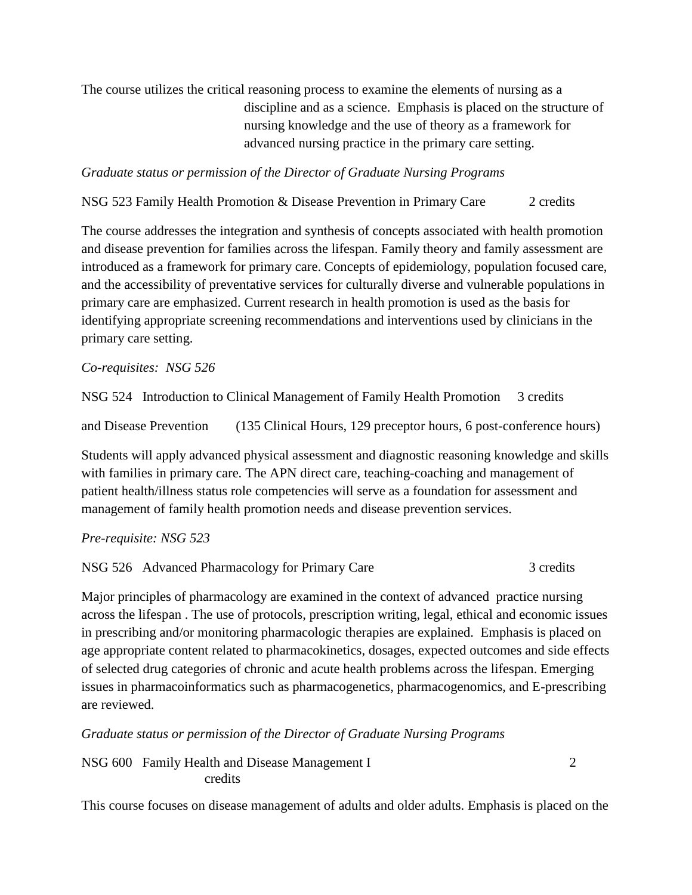The course utilizes the critical reasoning process to examine the elements of nursing as a discipline and as a science. Emphasis is placed on the structure of nursing knowledge and the use of theory as a framework for advanced nursing practice in the primary care setting.

*Graduate status or permission of the Director of Graduate Nursing Programs*

NSG 523 Family Health Promotion & Disease Prevention in Primary Care 2 credits

The course addresses the integration and synthesis of concepts associated with health promotion and disease prevention for families across the lifespan. Family theory and family assessment are introduced as a framework for primary care. Concepts of epidemiology, population focused care, and the accessibility of preventative services for culturally diverse and vulnerable populations in primary care are emphasized. Current research in health promotion is used as the basis for identifying appropriate screening recommendations and interventions used by clinicians in the primary care setting.

*Co-requisites: NSG 526* 

NSG 524 Introduction to Clinical Management of Family Health Promotion 3 credits

and Disease Prevention (135 Clinical Hours, 129 preceptor hours, 6 post-conference hours)

Students will apply advanced physical assessment and diagnostic reasoning knowledge and skills with families in primary care. The APN direct care, teaching-coaching and management of patient health/illness status role competencies will serve as a foundation for assessment and management of family health promotion needs and disease prevention services.

### *Pre-requisite: NSG 523*

NSG 526 Advanced Pharmacology for Primary Care 3 credits

Major principles of pharmacology are examined in the context of advanced practice nursing across the lifespan . The use of protocols, prescription writing, legal, ethical and economic issues in prescribing and/or monitoring pharmacologic therapies are explained. Emphasis is placed on age appropriate content related to pharmacokinetics, dosages, expected outcomes and side effects of selected drug categories of chronic and acute health problems across the lifespan. Emerging issues in pharmacoinformatics such as pharmacogenetics, pharmacogenomics, and E-prescribing are reviewed.

*Graduate status or permission of the Director of Graduate Nursing Programs*

NSG 600 Family Health and Disease Management I 2 credits

This course focuses on disease management of adults and older adults. Emphasis is placed on the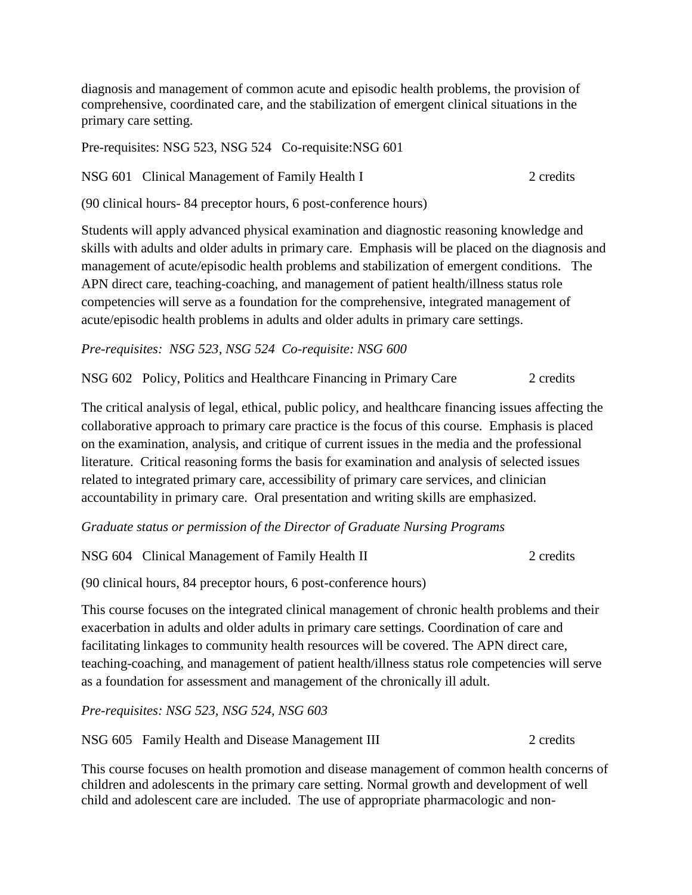diagnosis and management of common acute and episodic health problems, the provision of comprehensive, coordinated care, and the stabilization of emergent clinical situations in the primary care setting.

Pre-requisites: NSG 523, NSG 524 Co-requisite:NSG 601

NSG 601 Clinical Management of Family Health I 2 credits

(90 clinical hours- 84 preceptor hours, 6 post-conference hours)

Students will apply advanced physical examination and diagnostic reasoning knowledge and skills with adults and older adults in primary care. Emphasis will be placed on the diagnosis and management of acute/episodic health problems and stabilization of emergent conditions. The APN direct care, teaching-coaching, and management of patient health/illness status role competencies will serve as a foundation for the comprehensive, integrated management of acute/episodic health problems in adults and older adults in primary care settings.

*Pre-requisites: NSG 523, NSG 524 Co-requisite: NSG 600* 

NSG 602 Policy, Politics and Healthcare Financing in Primary Care 2 credits

The critical analysis of legal, ethical, public policy, and healthcare financing issues affecting the collaborative approach to primary care practice is the focus of this course. Emphasis is placed on the examination, analysis, and critique of current issues in the media and the professional literature. Critical reasoning forms the basis for examination and analysis of selected issues related to integrated primary care, accessibility of primary care services, and clinician accountability in primary care. Oral presentation and writing skills are emphasized.

*Graduate status or permission of the Director of Graduate Nursing Programs*

NSG 604 Clinical Management of Family Health II 2 credits

(90 clinical hours, 84 preceptor hours, 6 post-conference hours)

This course focuses on the integrated clinical management of chronic health problems and their exacerbation in adults and older adults in primary care settings. Coordination of care and facilitating linkages to community health resources will be covered. The APN direct care, teaching-coaching, and management of patient health/illness status role competencies will serve as a foundation for assessment and management of the chronically ill adult.

*Pre-requisites: NSG 523, NSG 524, NSG 603* 

NSG 605 Family Health and Disease Management III 2 credits

This course focuses on health promotion and disease management of common health concerns of children and adolescents in the primary care setting. Normal growth and development of well child and adolescent care are included. The use of appropriate pharmacologic and non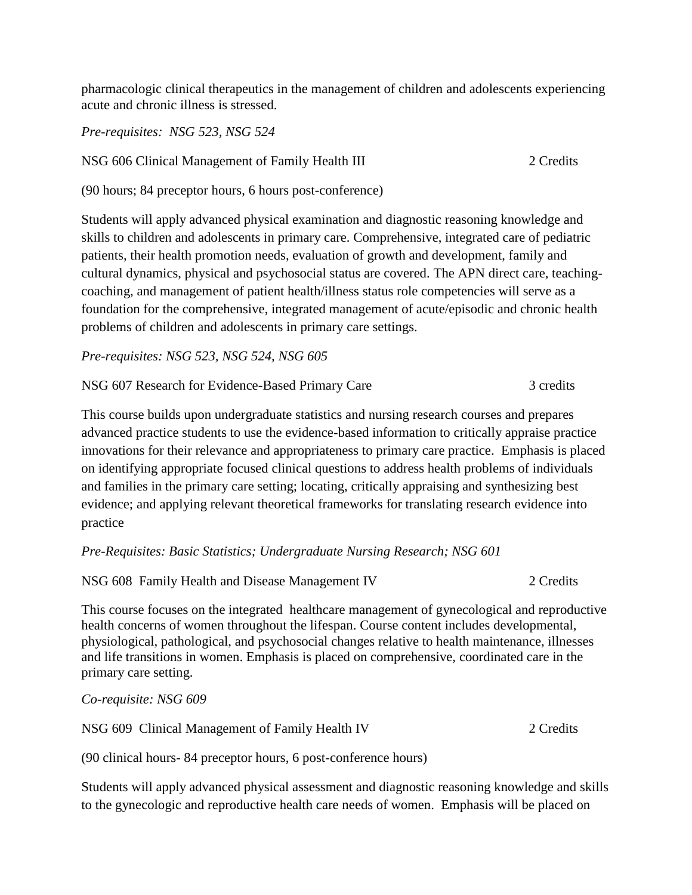pharmacologic clinical therapeutics in the management of children and adolescents experiencing acute and chronic illness is stressed.

*Pre-requisites: NSG 523, NSG 524*

NSG 606 Clinical Management of Family Health III 2 Credits

(90 hours; 84 preceptor hours, 6 hours post-conference)

Students will apply advanced physical examination and diagnostic reasoning knowledge and skills to children and adolescents in primary care. Comprehensive, integrated care of pediatric patients, their health promotion needs, evaluation of growth and development, family and cultural dynamics, physical and psychosocial status are covered. The APN direct care, teachingcoaching, and management of patient health/illness status role competencies will serve as a foundation for the comprehensive, integrated management of acute/episodic and chronic health problems of children and adolescents in primary care settings.

*Pre-requisites: NSG 523, NSG 524, NSG 605* 

NSG 607 Research for Evidence-Based Primary Care 3 credits

This course builds upon undergraduate statistics and nursing research courses and prepares advanced practice students to use the evidence-based information to critically appraise practice innovations for their relevance and appropriateness to primary care practice. Emphasis is placed on identifying appropriate focused clinical questions to address health problems of individuals and families in the primary care setting; locating, critically appraising and synthesizing best evidence; and applying relevant theoretical frameworks for translating research evidence into practice

*Pre-Requisites: Basic Statistics; Undergraduate Nursing Research; NSG 601*

NSG 608 Family Health and Disease Management IV 2 Credits

This course focuses on the integrated healthcare management of gynecological and reproductive health concerns of women throughout the lifespan. Course content includes developmental, physiological, pathological, and psychosocial changes relative to health maintenance, illnesses and life transitions in women. Emphasis is placed on comprehensive, coordinated care in the primary care setting.

*Co-requisite: NSG 609* 

NSG 609 Clinical Management of Family Health IV 2 Credits

(90 clinical hours- 84 preceptor hours, 6 post-conference hours)

Students will apply advanced physical assessment and diagnostic reasoning knowledge and skills to the gynecologic and reproductive health care needs of women. Emphasis will be placed on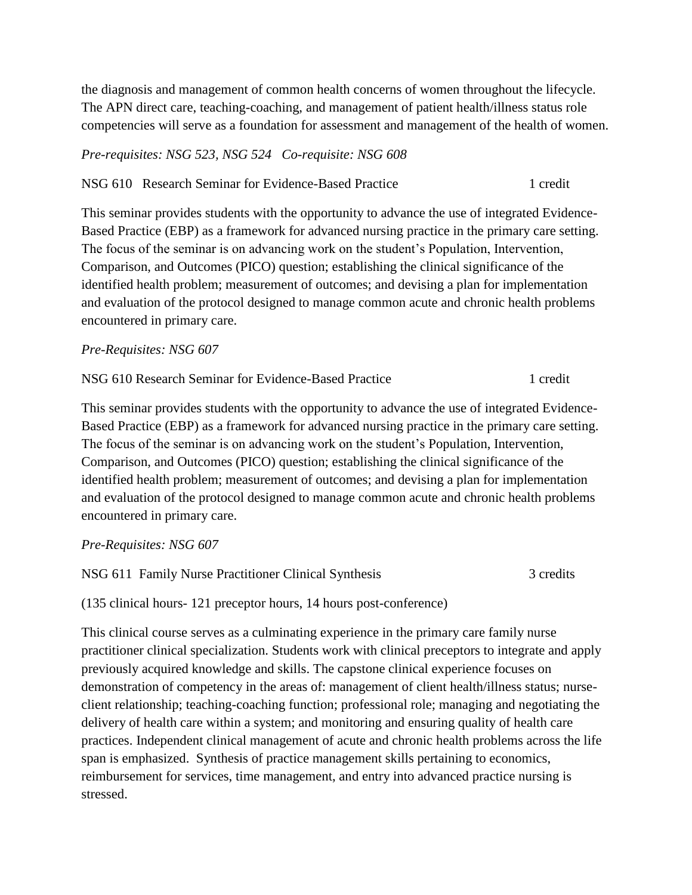the diagnosis and management of common health concerns of women throughout the lifecycle. The APN direct care, teaching-coaching, and management of patient health/illness status role competencies will serve as a foundation for assessment and management of the health of women.

#### *Pre-requisites: NSG 523, NSG 524 Co-requisite: NSG 608*

NSG 610 Research Seminar for Evidence-Based Practice 1 credit

This seminar provides students with the opportunity to advance the use of integrated Evidence-Based Practice (EBP) as a framework for advanced nursing practice in the primary care setting. The focus of the seminar is on advancing work on the student's Population, Intervention, Comparison, and Outcomes (PICO) question; establishing the clinical significance of the identified health problem; measurement of outcomes; and devising a plan for implementation and evaluation of the protocol designed to manage common acute and chronic health problems encountered in primary care.

#### *Pre-Requisites: NSG 607*

NSG 610 Research Seminar for Evidence-Based Practice 1 credit

This seminar provides students with the opportunity to advance the use of integrated Evidence-Based Practice (EBP) as a framework for advanced nursing practice in the primary care setting. The focus of the seminar is on advancing work on the student's Population, Intervention, Comparison, and Outcomes (PICO) question; establishing the clinical significance of the identified health problem; measurement of outcomes; and devising a plan for implementation and evaluation of the protocol designed to manage common acute and chronic health problems encountered in primary care.

### *Pre-Requisites: NSG 607*

NSG 611 Family Nurse Practitioner Clinical Synthesis 3 credits

(135 clinical hours- 121 preceptor hours, 14 hours post-conference)

This clinical course serves as a culminating experience in the primary care family nurse practitioner clinical specialization. Students work with clinical preceptors to integrate and apply previously acquired knowledge and skills. The capstone clinical experience focuses on demonstration of competency in the areas of: management of client health/illness status; nurseclient relationship; teaching-coaching function; professional role; managing and negotiating the delivery of health care within a system; and monitoring and ensuring quality of health care practices. Independent clinical management of acute and chronic health problems across the life span is emphasized. Synthesis of practice management skills pertaining to economics, reimbursement for services, time management, and entry into advanced practice nursing is stressed.